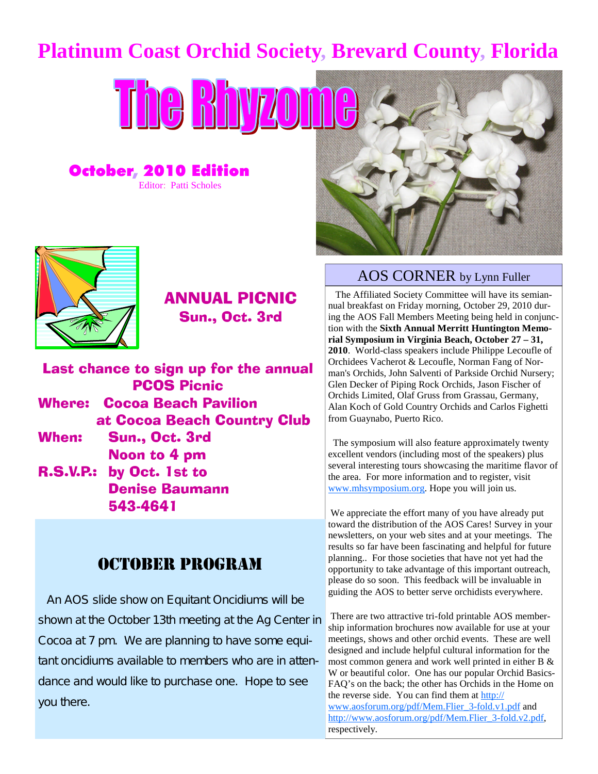# **Platinum Coast Orchid Society, Brevard County, Florida**

October, 2010 Edition

Editor: Patti Scholes





### ANNUAL PICNIC Sun., Oct. 3rd

Last chance to sign up for the annual PCOS Picnic Where: Cocoa Beach Pavilion at Cocoa Beach Country Club When: Sun., Oct. 3rd Noon to 4 pm R.S.V.P.: by Oct. 1st to Denise Baumann 543-4641

### OCTOBER PROGRAM

An AOS slide show on Equitant Oncidiums will be shown at the October 13th meeting at the Ag Center in Cocoa at 7 pm. We are planning to have some equitant oncidiums available to members who are in attendance and would like to purchase one. Hope to see you there.

#### AOS CORNER by Lynn Fuller

The Affiliated Society Committee will have its semiannual breakfast on Friday morning, October 29, 2010 during the AOS Fall Members Meeting being held in conjunction with the **Sixth Annual Merritt Huntington Memorial Symposium in Virginia Beach, October 27 – 31, 2010**. World-class speakers include Philippe Lecoufle of Orchidees Vacherot & Lecoufle, Norman Fang of Norman's Orchids, John Salventi of Parkside Orchid Nursery; Glen Decker of Piping Rock Orchids, Jason Fischer of Orchids Limited, Olaf Gruss from Grassau, Germany, Alan Koch of Gold Country Orchids and Carlos Fighetti from Guaynabo, Puerto Rico.

The symposium will also feature approximately twenty excellent vendors (including most of the speakers) plus several interesting tours showcasing the maritime flavor of the area. For more information and to register, visit www.mhsymposium.org. Hope you will join us.

We appreciate the effort many of you have already put toward the distribution of the AOS Cares! Survey in your newsletters, on your web sites and at your meetings. The results so far have been fascinating and helpful for future planning.. For those societies that have not yet had the opportunity to take advantage of this important outreach, please do so soon. This feedback will be invaluable in guiding the AOS to better serve orchidists everywhere.

There are two attractive tri-fold printable AOS membership information brochures now available for use at your meetings, shows and other orchid events. These are well designed and include helpful cultural information for the most common genera and work well printed in either B & W or beautiful color. One has our popular Orchid Basics-FAQ's on the back; the other has Orchids in the Home on the reverse side. You can find them at http:// www.aosforum.org/pdf/Mem.Flier\_3-fold.v1.pdf and http://www.aosforum.org/pdf/Mem.Flier\_3-fold.v2.pdf, respectively.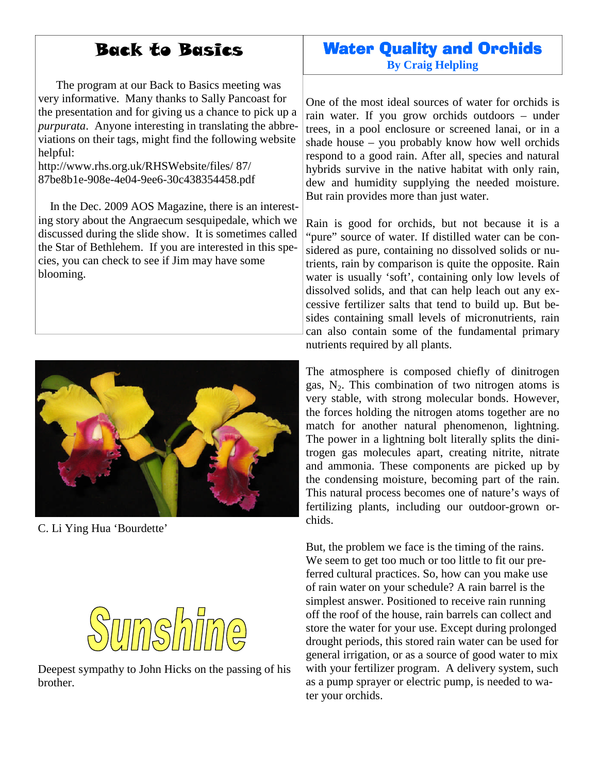## Back to Basics

The program at our Back to Basics meeting was very informative. Many thanks to Sally Pancoast for the presentation and for giving us a chance to pick up a *purpurata*. Anyone interesting in translating the abbreviations on their tags, might find the following website helpful:

http://www.rhs.org.uk/RHSWebsite/files/ 87/ 87be8b1e-908e-4e04-9ee6-30c438354458.pdf

In the Dec. 2009 AOS Magazine, there is an interesting story about the Angraecum sesquipedale, which we discussed during the slide show. It is sometimes called the Star of Bethlehem. If you are interested in this species, you can check to see if Jim may have some blooming.



C. Li Ying Hua 'Bourdette'



Deepest sympathy to John Hicks on the passing of his brother.

#### Water Quality and Orchids **By Craig Helpling**

One of the most ideal sources of water for orchids is rain water. If you grow orchids outdoors – under trees, in a pool enclosure or screened lanai, or in a shade house – you probably know how well orchids respond to a good rain. After all, species and natural hybrids survive in the native habitat with only rain, dew and humidity supplying the needed moisture. But rain provides more than just water.

Rain is good for orchids, but not because it is a "pure" source of water. If distilled water can be considered as pure, containing no dissolved solids or nutrients, rain by comparison is quite the opposite. Rain water is usually 'soft', containing only low levels of dissolved solids, and that can help leach out any excessive fertilizer salts that tend to build up. But besides containing small levels of micronutrients, rain can also contain some of the fundamental primary nutrients required by all plants.

The atmosphere is composed chiefly of dinitrogen gas,  $N_2$ . This combination of two nitrogen atoms is very stable, with strong molecular bonds. However, the forces holding the nitrogen atoms together are no match for another natural phenomenon, lightning. The power in a lightning bolt literally splits the dinitrogen gas molecules apart, creating nitrite, nitrate and ammonia. These components are picked up by the condensing moisture, becoming part of the rain. This natural process becomes one of nature's ways of fertilizing plants, including our outdoor-grown orchids.

But, the problem we face is the timing of the rains. We seem to get too much or too little to fit our preferred cultural practices. So, how can you make use of rain water on your schedule? A rain barrel is the simplest answer. Positioned to receive rain running off the roof of the house, rain barrels can collect and store the water for your use. Except during prolonged drought periods, this stored rain water can be used for general irrigation, or as a source of good water to mix with your fertilizer program. A delivery system, such as a pump sprayer or electric pump, is needed to water your orchids.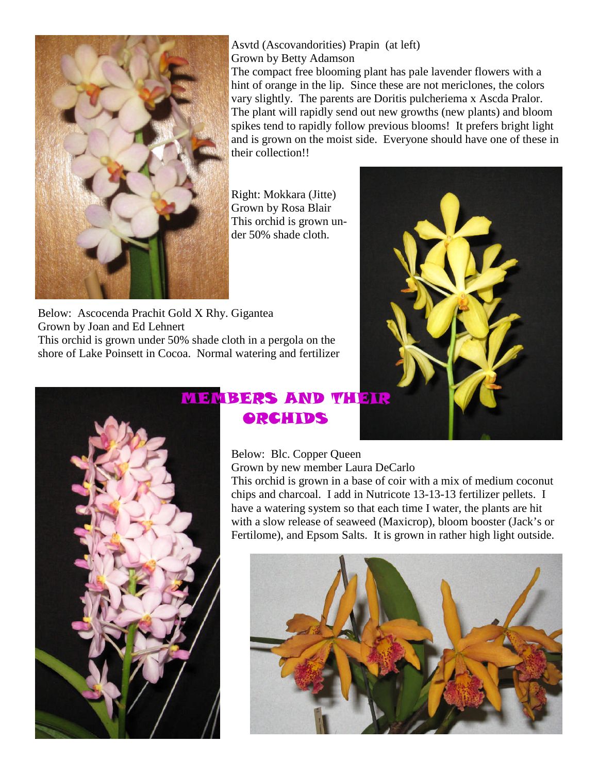

Asvtd (Ascovandorities) Prapin (at left) Grown by Betty Adamson

The compact free blooming plant has pale lavender flowers with a hint of orange in the lip. Since these are not mericlones, the colors vary slightly. The parents are Doritis pulcheriema x Ascda Pralor. The plant will rapidly send out new growths (new plants) and bloom spikes tend to rapidly follow previous blooms! It prefers bright light and is grown on the moist side. Everyone should have one of these in their collection!!

Right: Mokkara (Jitte) Grown by Rosa Blair This orchid is grown under 50% shade cloth.

Below: Ascocenda Prachit Gold X Rhy. Gigantea Grown by Joan and Ed Lehnert This orchid is grown under 50% shade cloth in a pergola on the shore of Lake Poinsett in Cocoa. Normal watering and fertilizer





## *MEMBERS AND THEIR* ORCHIDS

### Below: Blc. Copper Queen

Grown by new member Laura DeCarlo

This orchid is grown in a base of coir with a mix of medium coconut chips and charcoal. I add in Nutricote 13-13-13 fertilizer pellets. I have a watering system so that each time I water, the plants are hit with a slow release of seaweed (Maxicrop), bloom booster (Jack's or Fertilome), and Epsom Salts. It is grown in rather high light outside.